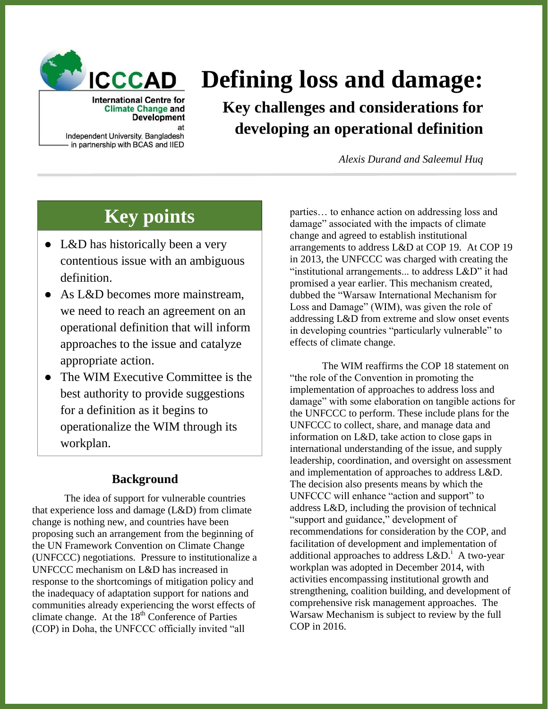

# **Defining loss and damage:**

**Key challenges and considerations for developing an operational definition**

*Alexis Durand and Saleemul Huq*

## **Key points**

**Climate Change and Development** 

Independent University, Bangladesh in partnership with BCAS and IIED

- L&D has historically been a very contentious issue with an ambiguous definition.
- As L&D becomes more mainstream, we need to reach an agreement on an operational definition that will inform approaches to the issue and catalyze appropriate action.
- The WIM Executive Committee is the best authority to provide suggestions for a definition as it begins to operationalize the WIM through its workplan.

### **Background**

The idea of support for vulnerable countries that experience loss and damage (L&D) from climate change is nothing new, and countries have been proposing such an arrangement from the beginning of the UN Framework Convention on Climate Change (UNFCCC) negotiations. Pressure to institutionalize a UNFCCC mechanism on L&D has increased in response to the shortcomings of mitigation policy and the inadequacy of adaptation support for nations and communities already experiencing the worst effects of climate change. At the 18<sup>th</sup> Conference of Parties (COP) in Doha, the UNFCCC officially invited "all

parties… to enhance action on addressing loss and damage" associated with the impacts of climate change and agreed to establish institutional arrangements to address L&D at COP 19. At COP 19 in 2013, the UNFCCC was charged with creating the "institutional arrangements... to address L&D" it had promised a year earlier. This mechanism created, dubbed the "Warsaw International Mechanism for Loss and Damage" (WIM), was given the role of addressing L&D from extreme and slow onset events in developing countries "particularly vulnerable" to effects of climate change.

The WIM reaffirms the COP 18 statement on "the role of the Convention in promoting the implementation of approaches to address loss and damage" with some elaboration on tangible actions for the UNFCCC to perform. These include plans for the UNFCCC to collect, share, and manage data and information on L&D, take action to close gaps in international understanding of the issue, and supply leadership, coordination, and oversight on assessment and implementation of approaches to address L&D. The decision also presents means by which the UNFCCC will enhance "action and support" to address L&D, including the provision of technical "support and guidance," development of recommendations for consideration by the COP, and facilitation of development and implementation of additional approaches to address  $L&D$ <sup>i</sup> A two-year workplan was adopted in December 2014, with activities encompassing institutional growth and strengthening, coalition building, and development of comprehensive risk management approaches. The Warsaw Mechanism is subject to review by the full COP in 2016.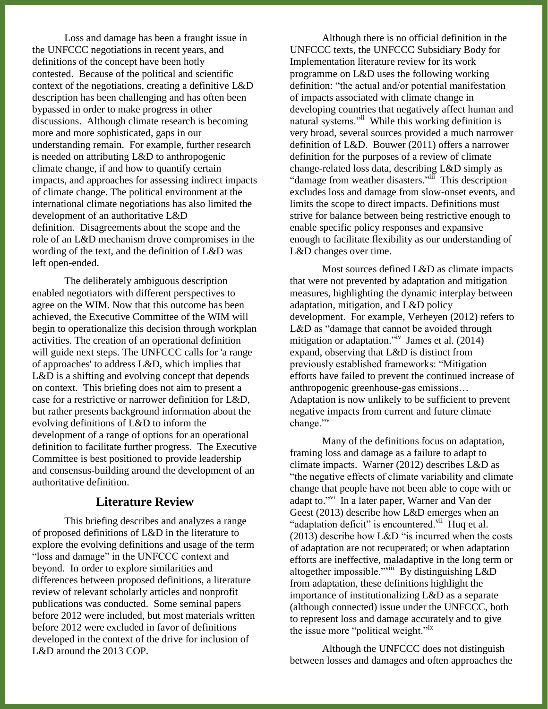Loss and damage has been a fraught issue in the UNFCCC negotiations in recent years, and definitions of the concept have been hotly contested. Because of the political and scientific context of the negotiations, creating a definitive L&D description has been challenging and has often been bypassed in order to make progress in other discussions. Although climate research is becoming more and more sophisticated, gaps in our understanding remain. For example, further research is needed on attributing L&D to anthropogenic climate change, if and how to quantify certain impacts, and approaches for assessing indirect impacts of climate change. The political environment at the international climate negotiations has also limited the development of an authoritative L&D definition. Disagreements about the scope and the role of an L&D mechanism drove compromises in the wording of the text, and the definition of L&D was left open-ended.

The deliberately ambiguous description enabled negotiators with different perspectives to agree on the WIM. Now that this outcome has been achieved, the Executive Committee of the WIM will begin to operationalize this decision through workplan activities. The creation of an operational definition will guide next steps. The UNFCCC calls for 'a range of approaches' to address L&D, which implies that L&D is a shifting and evolving concept that depends on context. This briefing does not aim to present a case for a restrictive or narrower definition for L&D, but rather presents background information about the evolving definitions of L&D to inform the development of a range of options for an operational definition to facilitate further progress. The Executive Committee is best positioned to provide leadership and consensus-building around the development of an authoritative definition.

#### **Literature Review**

This briefing describes and analyzes a range of proposed definitions of L&D in the literature to explore the evolving definitions and usage of the term "loss and damage" in the UNFCCC context and beyond. In order to explore similarities and differences between proposed definitions, a literature review of relevant scholarly articles and nonprofit publications was conducted. Some seminal papers before 2012 were included, but most materials written before 2012 were excluded in favor of definitions developed in the context of the drive for inclusion of L&D around the 2013 COP.

Although there is no official definition in the UNFCCC texts, the UNFCCC Subsidiary Body for Implementation literature review for its work programme on L&D uses the following working definition: "the actual and/or potential manifestation of impacts associated with climate change in developing countries that negatively affect human and natural systems."ii While this working definition is very broad, several sources provided a much narrower definition of L&D. Bouwer (2011) offers a narrower definition for the purposes of a review of climate change-related loss data, describing L&D simply as "damage from weather disasters."<sup>iii</sup> This description excludes loss and damage from slow-onset events, and limits the scope to direct impacts. Definitions must strive for balance between being restrictive enough to enable specific policy responses and expansive enough to facilitate flexibility as our understanding of L&D changes over time.

Most sources defined L&D as climate impacts that were not prevented by adaptation and mitigation measures, highlighting the dynamic interplay between adaptation, mitigation, and L&D policy development. For example, Verheyen (2012) refers to L&D as "damage that cannot be avoided through mitigation or adaptation."<sup>iv</sup> James et al. (2014) expand, observing that L&D is distinct from previously established frameworks: "Mitigation efforts have failed to prevent the continued increase of anthropogenic greenhouse-gas emissions… Adaptation is now unlikely to be sufficient to prevent negative impacts from current and future climate change."<sup>v</sup>

Many of the definitions focus on adaptation, framing loss and damage as a failure to adapt to climate impacts. Warner (2012) describes L&D as "the negative effects of climate variability and climate change that people have not been able to cope with or adapt to."<sup>vi</sup> In a later paper, Warner and Van der Geest (2013) describe how L&D emerges when an "adaptation deficit" is encountered.<sup>vii</sup> Huq et al. (2013) describe how L&D "is incurred when the costs of adaptation are not recuperated; or when adaptation efforts are ineffective, maladaptive in the long term or altogether impossible."<sup>viii</sup> By distinguishing L&D from adaptation, these definitions highlight the importance of institutionalizing L&D as a separate (although connected) issue under the UNFCCC, both to represent loss and damage accurately and to give the issue more "political weight."<sup>ix</sup>

Although the UNFCCC does not distinguish between losses and damages and often approaches the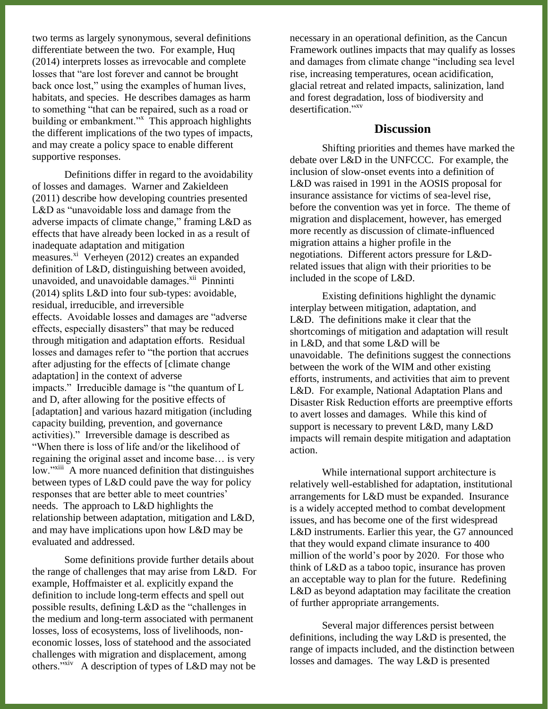two terms as largely synonymous, several definitions differentiate between the two. For example, Huq (2014) interprets losses as irrevocable and complete losses that "are lost forever and cannot be brought back once lost," using the examples of human lives, habitats, and species. He describes damages as harm to something "that can be repaired, such as a road or building or embankment."<sup>x</sup> This approach highlights the different implications of the two types of impacts, and may create a policy space to enable different supportive responses.

Definitions differ in regard to the avoidability of losses and damages. Warner and Zakieldeen (2011) describe how developing countries presented L&D as "unavoidable loss and damage from the adverse impacts of climate change," framing L&D as effects that have already been locked in as a result of inadequate adaptation and mitigation measures.<sup>xi</sup> Verheyen (2012) creates an expanded definition of L&D, distinguishing between avoided, unavoided, and unavoidable damages.<sup>xii</sup> Pinninti (2014) splits L&D into four sub-types: avoidable, residual, irreducible, and irreversible effects. Avoidable losses and damages are "adverse effects, especially disasters" that may be reduced through mitigation and adaptation efforts. Residual losses and damages refer to "the portion that accrues after adjusting for the effects of [climate change adaptation] in the context of adverse impacts." Irreducible damage is "the quantum of L and D, after allowing for the positive effects of [adaptation] and various hazard mitigation (including capacity building, prevention, and governance activities)." Irreversible damage is described as "When there is loss of life and/or the likelihood of regaining the original asset and income base… is very low."<sup>xiii</sup> A more nuanced definition that distinguishes between types of L&D could pave the way for policy responses that are better able to meet countries' needs. The approach to L&D highlights the relationship between adaptation, mitigation and L&D, and may have implications upon how L&D may be evaluated and addressed.

Some definitions provide further details about the range of challenges that may arise from L&D. For example, Hoffmaister et al. explicitly expand the definition to include long-term effects and spell out possible results, defining L&D as the "challenges in the medium and long-term associated with permanent losses, loss of ecosystems, loss of livelihoods, noneconomic losses, loss of statehood and the associated challenges with migration and displacement, among others."<sup>xiv</sup> A description of types of L&D may not be

necessary in an operational definition, as the Cancun Framework outlines impacts that may qualify as losses and damages from climate change "including sea level rise, increasing temperatures, ocean acidification, glacial retreat and related impacts, salinization, land and forest degradation, loss of biodiversity and desertification." xv

#### **Discussion**

Shifting priorities and themes have marked the debate over L&D in the UNFCCC. For example, the inclusion of slow-onset events into a definition of L&D was raised in 1991 in the AOSIS proposal for insurance assistance for victims of sea-level rise, before the convention was yet in force. The theme of migration and displacement, however, has emerged more recently as discussion of climate-influenced migration attains a higher profile in the negotiations. Different actors pressure for L&Drelated issues that align with their priorities to be included in the scope of L&D.

Existing definitions highlight the dynamic interplay between mitigation, adaptation, and L&D. The definitions make it clear that the shortcomings of mitigation and adaptation will result in L&D, and that some L&D will be unavoidable. The definitions suggest the connections between the work of the WIM and other existing efforts, instruments, and activities that aim to prevent L&D. For example, National Adaptation Plans and Disaster Risk Reduction efforts are preemptive efforts to avert losses and damages. While this kind of support is necessary to prevent L&D, many L&D impacts will remain despite mitigation and adaptation action.

While international support architecture is relatively well-established for adaptation, institutional arrangements for L&D must be expanded. Insurance is a widely accepted method to combat development issues, and has become one of the first widespread L&D instruments. Earlier this year, the G7 announced that they would expand climate insurance to 400 million of the world's poor by 2020. For those who think of L&D as a taboo topic, insurance has proven an acceptable way to plan for the future. Redefining L&D as beyond adaptation may facilitate the creation of further appropriate arrangements.

Several major differences persist between definitions, including the way L&D is presented, the range of impacts included, and the distinction between losses and damages. The way L&D is presented